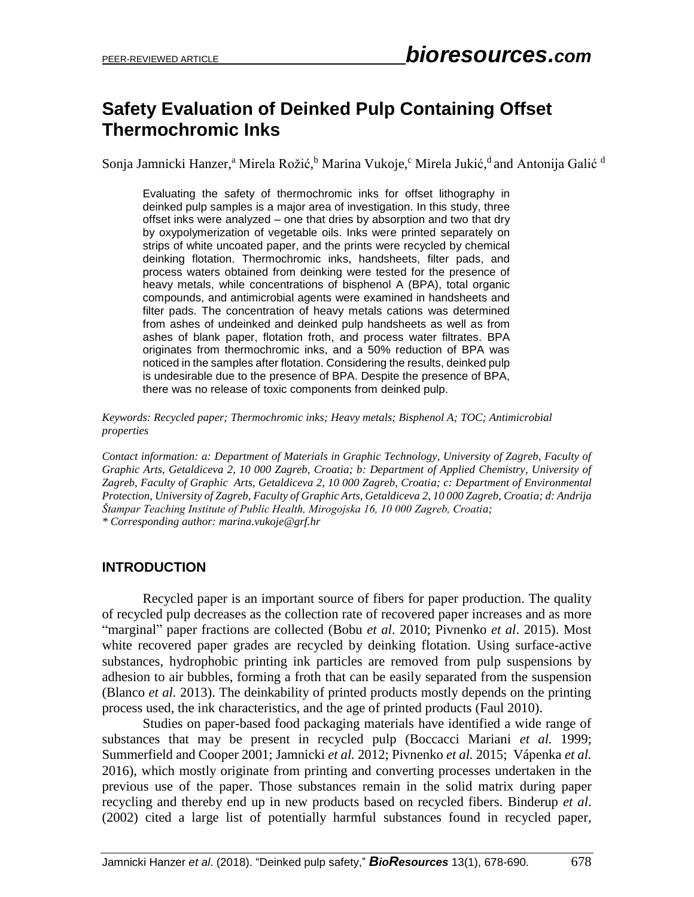# **Safety Evaluation of Deinked Pulp Containing Offset Thermochromic Inks**

Sonja Jamnicki Hanzer,ª Mirela Rožić,<sup>b</sup> Marina Vukoje,<sup>c</sup> Mirela Jukić,<sup>d</sup> and Antonija Galić <sup>d</sup>

Evaluating the safety of thermochromic inks for offset lithography in deinked pulp samples is a major area of investigation. In this study, three offset inks were analyzed – one that dries by absorption and two that dry by oxypolymerization of vegetable oils. Inks were printed separately on strips of white uncoated paper, and the prints were recycled by chemical deinking flotation. Thermochromic inks, handsheets, filter pads, and process waters obtained from deinking were tested for the presence of heavy metals, while concentrations of bisphenol A (BPA), total organic compounds, and antimicrobial agents were examined in handsheets and filter pads. The concentration of heavy metals cations was determined from ashes of undeinked and deinked pulp handsheets as well as from ashes of blank paper, flotation froth, and process water filtrates. BPA originates from thermochromic inks, and a 50% reduction of BPA was noticed in the samples after flotation. Considering the results, deinked pulp is undesirable due to the presence of BPA. Despite the presence of BPA, there was no release of toxic components from deinked pulp.

*Keywords: Recycled paper; Thermochromic inks; Heavy metals; Bisphenol A; TOC; Antimicrobial properties*

*Contact information: a: Department of Materials in Graphic Technology, University of Zagreb, Faculty of Graphic Arts, Getaldiceva 2, 10 000 Zagreb, Croatia; b: Department of Applied Chemistry, University of Zagreb, Faculty of Graphic Arts, Getaldiceva 2, 10 000 Zagreb, Croatia; c: Department of Environmental Protection, University of Zagreb, Faculty of Graphic Arts, Getaldiceva 2, 10 000 Zagreb, Croatia; d: Andrija Štampar Teaching Institute of Public Health, Mirogojska 16, 10 000 Zagreb, Croatia; \* Corresponding author: marina.vukoje@grf.hr*

#### **INTRODUCTION**

Recycled paper is an important source of fibers for paper production. The quality of recycled pulp decreases as the collection rate of recovered paper increases and as more "marginal" paper fractions are collected (Bobu *et al*. 2010; Pivnenko *et al*. 2015). Most white recovered paper grades are recycled by deinking flotation. Using surface-active substances, hydrophobic printing ink particles are removed from pulp suspensions by adhesion to air bubbles, forming a froth that can be easily separated from the suspension (Blanco *et al.* 2013). The deinkability of printed products mostly depends on the printing process used, the ink characteristics, and the age of printed products (Faul 2010).

Studies on paper-based food packaging materials have identified a wide range of substances that may be present in recycled pulp (Boccacci Mariani *et al.* 1999; Summerfield and Cooper 2001; Jamnicki *et al.* 2012; Pivnenko *et al.* 2015; Vápenka *et al.* 2016), which mostly originate from printing and converting processes undertaken in the previous use of the paper. Those substances remain in the solid matrix during paper recycling and thereby end up in new products based on recycled fibers. Binderup *et al*. (2002) cited a large list of potentially harmful substances found in recycled paper,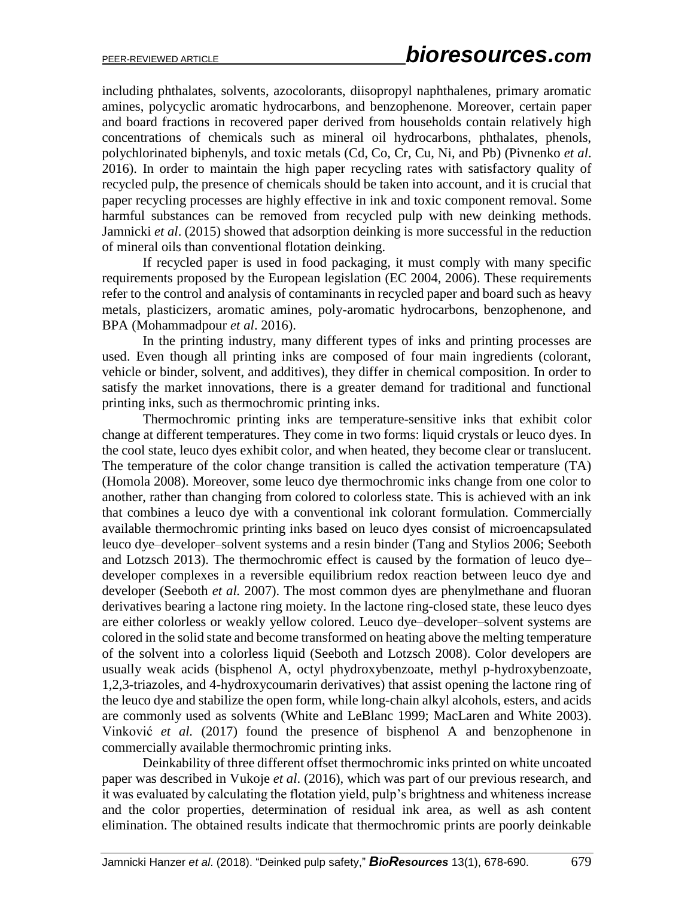including phthalates, solvents, azocolorants, diisopropyl naphthalenes, primary aromatic amines, polycyclic aromatic hydrocarbons, and benzophenone. Moreover, certain paper and board fractions in recovered paper derived from households contain relatively high concentrations of chemicals such as mineral oil hydrocarbons, phthalates, phenols, polychlorinated biphenyls, and toxic metals (Cd, Co, Cr, Cu, Ni, and Pb) (Pivnenko *et al*. 2016). In order to maintain the high paper recycling rates with satisfactory quality of recycled pulp, the presence of chemicals should be taken into account, and it is crucial that paper recycling processes are highly effective in ink and toxic component removal. Some harmful substances can be removed from recycled pulp with new deinking methods. Jamnicki *et al*. (2015) showed that adsorption deinking is more successful in the reduction of mineral oils than conventional flotation deinking.

If recycled paper is used in food packaging, it must comply with many specific requirements proposed by the European legislation (EC 2004, 2006). These requirements refer to the control and analysis of contaminants in recycled paper and board such as heavy metals, plasticizers, aromatic amines, poly-aromatic hydrocarbons, benzophenone, and BPA (Mohammadpour *et al*. 2016).

In the printing industry, many different types of inks and printing processes are used. Even though all printing inks are composed of four main ingredients (colorant, vehicle or binder, solvent, and additives), they differ in chemical composition. In order to satisfy the market innovations, there is a greater demand for traditional and functional printing inks, such as thermochromic printing inks.

Thermochromic printing inks are temperature-sensitive inks that exhibit color change at different temperatures. They come in two forms: liquid crystals or leuco dyes. In the cool state, leuco dyes exhibit color, and when heated, they become clear or translucent. The temperature of the color change transition is called the activation temperature (TA) (Homola 2008). Moreover, some leuco dye thermochromic inks change from one color to another, rather than changing from colored to colorless state. This is achieved with an ink that combines a leuco dye with a conventional ink colorant formulation. Commercially available thermochromic printing inks based on leuco dyes consist of microencapsulated leuco dye–developer–solvent systems and a resin binder (Tang and Stylios 2006; Seeboth and Lotzsch 2013). The thermochromic effect is caused by the formation of leuco dye– developer complexes in a reversible equilibrium redox reaction between leuco dye and developer (Seeboth *et al.* 2007). The most common dyes are phenylmethane and fluoran derivatives bearing a lactone ring moiety. In the lactone ring-closed state, these leuco dyes are either colorless or weakly yellow colored. Leuco dye–developer–solvent systems are colored in the solid state and become transformed on heating above the melting temperature of the solvent into a colorless liquid (Seeboth and Lotzsch 2008). Color developers are usually weak acids (bisphenol A, octyl phydroxybenzoate, methyl p-hydroxybenzoate, 1,2,3-triazoles, and 4-hydroxycoumarin derivatives) that assist opening the lactone ring of the leuco dye and stabilize the open form, while long-chain alkyl alcohols, esters, and acids are commonly used as solvents (White and LeBlanc 1999; MacLaren and White 2003). Vinković *et al.* (2017) found the presence of bisphenol A and benzophenone in commercially available thermochromic printing inks.

Deinkability of three different offset thermochromic inks printed on white uncoated paper was described in Vukoje *et al*. (2016), which was part of our previous research, and it was evaluated by calculating the flotation yield, pulp's brightness and whiteness increase and the color properties, determination of residual ink area, as well as ash content elimination. The obtained results indicate that thermochromic prints are poorly deinkable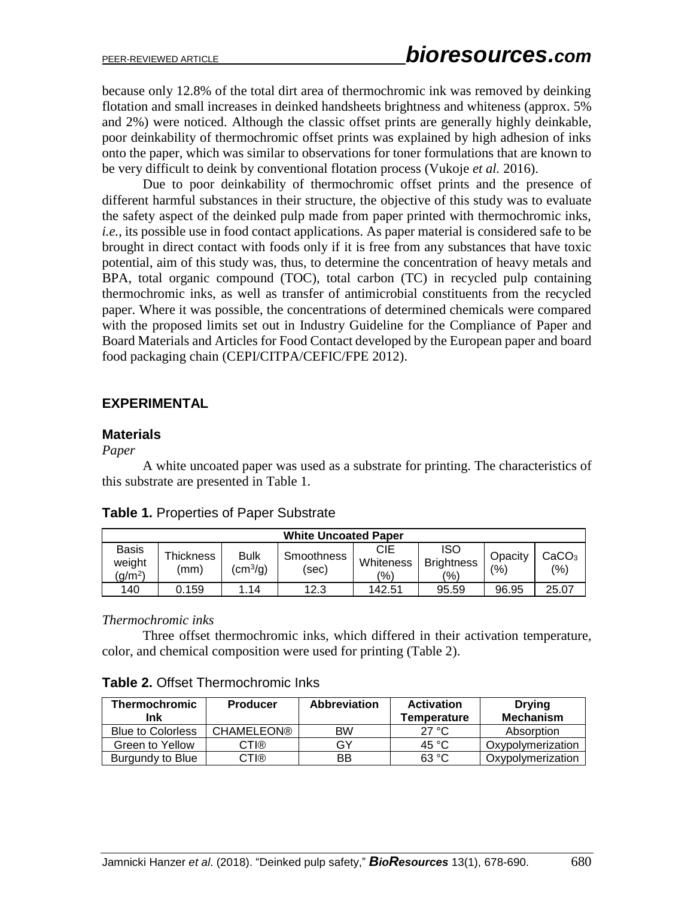because only 12.8% of the total dirt area of thermochromic ink was removed by deinking flotation and small increases in deinked handsheets brightness and whiteness (approx. 5% and 2%) were noticed. Although the classic offset prints are generally highly deinkable, poor deinkability of thermochromic offset prints was explained by high adhesion of inks onto the paper, which was similar to observations for toner formulations that are known to be very difficult to deink by conventional flotation process (Vukoje *et al.* 2016).

Due to poor deinkability of thermochromic offset prints and the presence of different harmful substances in their structure, the objective of this study was to evaluate the safety aspect of the deinked pulp made from paper printed with thermochromic inks, *i.e.,* its possible use in food contact applications. As paper material is considered safe to be brought in direct contact with foods only if it is free from any substances that have toxic potential, aim of this study was, thus, to determine the concentration of heavy metals and BPA, total organic compound (TOC), total carbon (TC) in recycled pulp containing thermochromic inks, as well as transfer of antimicrobial constituents from the recycled paper. Where it was possible, the concentrations of determined chemicals were compared with the proposed limits set out in Industry Guideline for the Compliance of Paper and Board Materials and Articles for Food Contact developed by the European paper and board food packaging chain (CEPI/CITPA/CEFIC/FPE 2012).

# **EXPERIMENTAL**

# **Materials**

#### *Paper*

A white uncoated paper was used as a substrate for printing. The characteristics of this substrate are presented in Table 1.

| <b>Table 1. Properties of Paper Substrate</b> |  |
|-----------------------------------------------|--|
|-----------------------------------------------|--|

| <b>White Uncoated Paper</b>                   |                   |                               |                     |                         |                                        |                |                          |
|-----------------------------------------------|-------------------|-------------------------------|---------------------|-------------------------|----------------------------------------|----------------|--------------------------|
| <b>Basis</b><br>weight<br>(g/m <sup>2</sup> ) | Thickness<br>(mm) | <b>Bulk</b><br>$\rm (cm^3/q)$ | Smoothness<br>(sec) | CIE<br>Whiteness<br>(%) | <b>ISO</b><br><b>Brightness</b><br>(%) | Opacity<br>(%) | CaCO <sub>3</sub><br>(%) |
| 140                                           | 0.159             | 1.14                          | 12.3                | 142.51                  | 95.59                                  | 96.95          | 25.07                    |

#### *Thermochromic inks*

Three offset thermochromic inks, which differed in their activation temperature, color, and chemical composition were used for printing (Table 2).

# **Table 2.** Offset Thermochromic Inks

| <b>Thermochromic</b><br>Ink | <b>Producer</b>   | <b>Abbreviation</b> | <b>Activation</b><br>Temperature | <b>Drying</b><br><b>Mechanism</b> |
|-----------------------------|-------------------|---------------------|----------------------------------|-----------------------------------|
| <b>Blue to Colorless</b>    | <b>CHAMELEON®</b> | <b>BW</b>           | 27 °C                            | Absorption                        |
| Green to Yellow             | CTI®              | GY                  | 45 °C                            | Oxypolymerization                 |
| Burgundy to Blue            | CTI®              | BB                  | 63 °C                            | Oxypolymerization                 |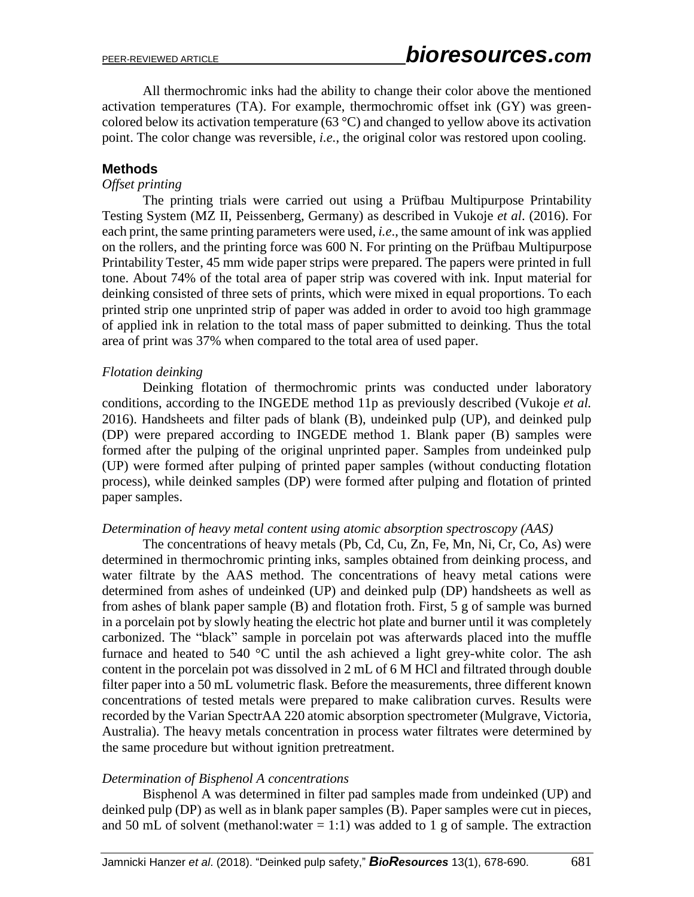All thermochromic inks had the ability to change their color above the mentioned activation temperatures (TA). For example, thermochromic offset ink (GY) was greencolored below its activation temperature (63  $^{\circ}$ C) and changed to yellow above its activation point. The color change was reversible, *i.e.*, the original color was restored upon cooling.

#### **Methods**

#### *Offset printing*

The printing trials were carried out using a Prüfbau Multipurpose Printability Testing System (MZ II, Peissenberg, Germany) as described in Vukoje *et al*. (2016). For each print, the same printing parameters were used, *i.e*., the same amount of ink was applied on the rollers, and the printing force was 600 N. For printing on the Prüfbau Multipurpose Printability Tester, 45 mm wide paper strips were prepared. The papers were printed in full tone. About 74% of the total area of paper strip was covered with ink. Input material for deinking consisted of three sets of prints, which were mixed in equal proportions. To each printed strip one unprinted strip of paper was added in order to avoid too high grammage of applied ink in relation to the total mass of paper submitted to deinking. Thus the total area of print was 37% when compared to the total area of used paper.

#### *Flotation deinking*

Deinking flotation of thermochromic prints was conducted under laboratory conditions, according to the INGEDE method 11p as previously described (Vukoje *et al.* 2016). Handsheets and filter pads of blank (B), undeinked pulp (UP), and deinked pulp (DP) were prepared according to INGEDE method 1. Blank paper (B) samples were formed after the pulping of the original unprinted paper. Samples from undeinked pulp (UP) were formed after pulping of printed paper samples (without conducting flotation process), while deinked samples (DP) were formed after pulping and flotation of printed paper samples.

#### *Determination of heavy metal content using atomic absorption spectroscopy (AAS)*

The concentrations of heavy metals (Pb, Cd, Cu, Zn, Fe, Mn, Ni, Cr, Co, As) were determined in thermochromic printing inks, samples obtained from deinking process, and water filtrate by the AAS method. The concentrations of heavy metal cations were determined from ashes of undeinked (UP) and deinked pulp (DP) handsheets as well as from ashes of blank paper sample (B) and flotation froth. First, 5 g of sample was burned in a porcelain pot by slowly heating the electric hot plate and burner until it was completely carbonized. The "black" sample in porcelain pot was afterwards placed into the muffle furnace and heated to 540  $\degree$ C until the ash achieved a light grey-white color. The ash content in the porcelain pot was dissolved in 2 mL of 6 M HCl and filtrated through double filter paper into a 50 mL volumetric flask. Before the measurements, three different known concentrations of tested metals were prepared to make calibration curves. Results were recorded by the Varian SpectrAA 220 atomic absorption spectrometer (Mulgrave, Victoria, Australia). The heavy metals concentration in process water filtrates were determined by the same procedure but without ignition pretreatment.

#### *Determination of Bisphenol A concentrations*

Bisphenol A was determined in filter pad samples made from undeinked (UP) and deinked pulp (DP) as well as in blank paper samples (B). Paper samples were cut in pieces, and 50 mL of solvent (methanol:water  $= 1:1$ ) was added to 1 g of sample. The extraction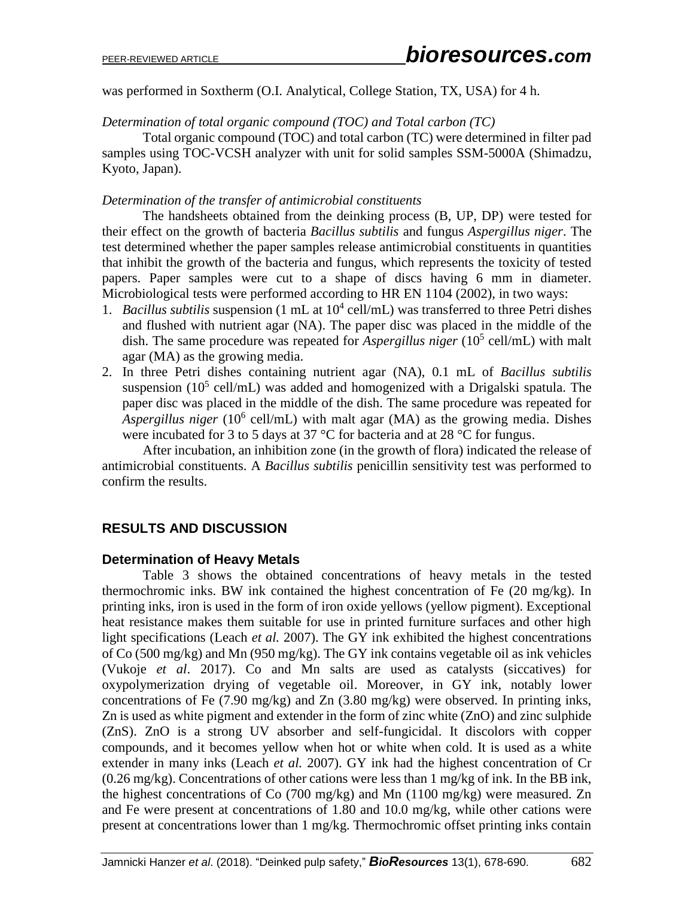was performed in Soxtherm (O.I. Analytical, College Station, TX, USA) for 4 h.

*Determination of total organic compound (TOC) and Total carbon (TC)*

Total organic compound (TOC) and total carbon (TC) were determined in filter pad samples using TOC-VCSH analyzer with unit for solid samples SSM-5000A (Shimadzu, Kyoto, Japan).

# *Determination of the transfer of antimicrobial constituents*

The handsheets obtained from the deinking process (B, UP, DP) were tested for their effect on the growth of bacteria *Bacillus subtilis* and fungus *Aspergillus niger*. The test determined whether the paper samples release antimicrobial constituents in quantities that inhibit the growth of the bacteria and fungus, which represents the toxicity of tested papers. Paper samples were cut to a shape of discs having 6 mm in diameter. Microbiological tests were performed according to HR EN 1104 (2002), in two ways:

- 1. *Bacillus subtilis* suspension (1 mL at  $10^4$  cell/mL) was transferred to three Petri dishes and flushed with nutrient agar (NA). The paper disc was placed in the middle of the dish. The same procedure was repeated for *Aspergillus niger* (10<sup>5</sup> cell/mL) with malt agar (MA) as the growing media.
- 2. In three Petri dishes containing nutrient agar (NA), 0.1 mL of *Bacillus subtilis* suspension ( $10<sup>5</sup>$  cell/mL) was added and homogenized with a Drigalski spatula. The paper disc was placed in the middle of the dish. The same procedure was repeated for Aspergillus niger (10<sup>6</sup> cell/mL) with malt agar (MA) as the growing media. Dishes were incubated for 3 to 5 days at 37 °C for bacteria and at 28 °C for fungus.

After incubation, an inhibition zone (in the growth of flora) indicated the release of antimicrobial constituents. A *Bacillus subtilis* penicillin sensitivity test was performed to confirm the results.

# **RESULTS AND DISCUSSION**

# **Determination of Heavy Metals**

Table 3 shows the obtained concentrations of heavy metals in the tested thermochromic inks. BW ink contained the highest concentration of Fe (20 mg/kg). In printing inks, iron is used in the form of iron oxide yellows (yellow pigment). Exceptional heat resistance makes them suitable for use in printed furniture surfaces and other high light specifications (Leach *et al.* 2007). The GY ink exhibited the highest concentrations of Co (500 mg/kg) and Mn (950 mg/kg). The GY ink contains vegetable oil as ink vehicles (Vukoje *et al*. 2017). Co and Mn salts are used as catalysts (siccatives) for oxypolymerization drying of vegetable oil. Moreover, in GY ink, notably lower concentrations of Fe (7.90 mg/kg) and Zn (3.80 mg/kg) were observed. In printing inks, Zn is used as white pigment and extender in the form of zinc white (ZnO) and zinc sulphide (ZnS). ZnO is a strong UV absorber and self-fungicidal. It discolors with copper compounds, and it becomes yellow when hot or white when cold. It is used as a white extender in many inks (Leach *et al.* 2007). GY ink had the highest concentration of Cr (0.26 mg/kg). Concentrations of other cations were less than 1 mg/kg of ink. In the BB ink, the highest concentrations of Co (700 mg/kg) and Mn (1100 mg/kg) were measured. Zn and Fe were present at concentrations of 1.80 and 10.0 mg/kg, while other cations were present at concentrations lower than 1 mg/kg. Thermochromic offset printing inks contain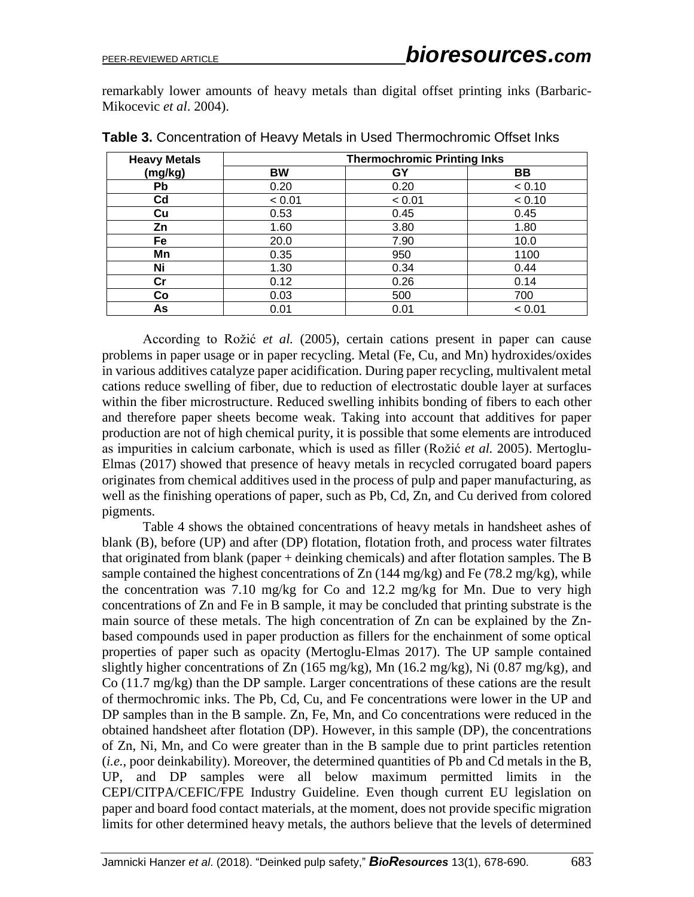remarkably lower amounts of heavy metals than digital offset printing inks (Barbaric-Mikocevic *et al*. 2004).

| <b>Heavy Metals</b> | <b>Thermochromic Printing Inks</b> |        |           |  |  |
|---------------------|------------------------------------|--------|-----------|--|--|
| (mg/kg)             | BW                                 | GY     | <b>BB</b> |  |  |
| Pb                  | 0.20                               | 0.20   | < 0.10    |  |  |
| Cd                  | < 0.01                             | < 0.01 | < 0.10    |  |  |
| Cu                  | 0.53                               | 0.45   | 0.45      |  |  |
| Zn                  | 1.60                               | 3.80   | 1.80      |  |  |
| Fe                  | 20.0                               | 7.90   | 10.0      |  |  |
| Mn                  | 0.35                               | 950    | 1100      |  |  |
| Ni                  | 1.30                               | 0.34   | 0.44      |  |  |
| $\mathsf{Cr}$       | 0.12                               | 0.26   | 0.14      |  |  |
| Co                  | 0.03                               | 500    | 700       |  |  |
| As                  | 0.01                               | 0.01   | < 0.01    |  |  |

**Table 3.** Concentration of Heavy Metals in Used Thermochromic Offset Inks

According to Rožić *et al.* (2005), certain cations present in paper can cause problems in paper usage or in paper recycling. Metal (Fe, Cu, and Mn) hydroxides/oxides in various additives catalyze paper acidification. During paper recycling, multivalent metal cations reduce swelling of fiber, due to reduction of electrostatic double layer at surfaces within the fiber microstructure. Reduced swelling inhibits bonding of fibers to each other and therefore paper sheets become weak. Taking into account that additives for paper production are not of high chemical purity, it is possible that some elements are introduced as impurities in calcium carbonate, which is used as filler (Rožić *et al.* 2005). Mertoglu-Elmas (2017) showed that presence of heavy metals in recycled corrugated board papers originates from chemical additives used in the process of pulp and paper manufacturing, as well as the finishing operations of paper, such as Pb, Cd, Zn, and Cu derived from colored pigments.

Table 4 shows the obtained concentrations of heavy metals in handsheet ashes of blank (B), before (UP) and after (DP) flotation, flotation froth, and process water filtrates that originated from blank (paper + deinking chemicals) and after flotation samples. The B sample contained the highest concentrations of  $Zn$  (144 mg/kg) and Fe (78.2 mg/kg), while the concentration was 7.10 mg/kg for Co and 12.2 mg/kg for Mn. Due to very high concentrations of Zn and Fe in B sample, it may be concluded that printing substrate is the main source of these metals. The high concentration of Zn can be explained by the Znbased compounds used in paper production as fillers for the enchainment of some optical properties of paper such as opacity (Mertoglu-Elmas 2017). The UP sample contained slightly higher concentrations of Zn (165 mg/kg), Mn (16.2 mg/kg), Ni (0.87 mg/kg), and Co (11.7 mg/kg) than the DP sample. Larger concentrations of these cations are the result of thermochromic inks. The Pb, Cd, Cu, and Fe concentrations were lower in the UP and DP samples than in the B sample. Zn, Fe, Mn, and Co concentrations were reduced in the obtained handsheet after flotation (DP). However, in this sample (DP), the concentrations of Zn, Ni, Mn, and Co were greater than in the B sample due to print particles retention (*i.e.*, poor deinkability). Moreover, the determined quantities of Pb and Cd metals in the B, UP, and DP samples were all below maximum permitted limits in the CEPI/CITPA/CEFIC/FPE Industry Guideline. Even though current EU legislation on paper and board food contact materials, at the moment, does not provide specific migration limits for other determined heavy metals, the authors believe that the levels of determined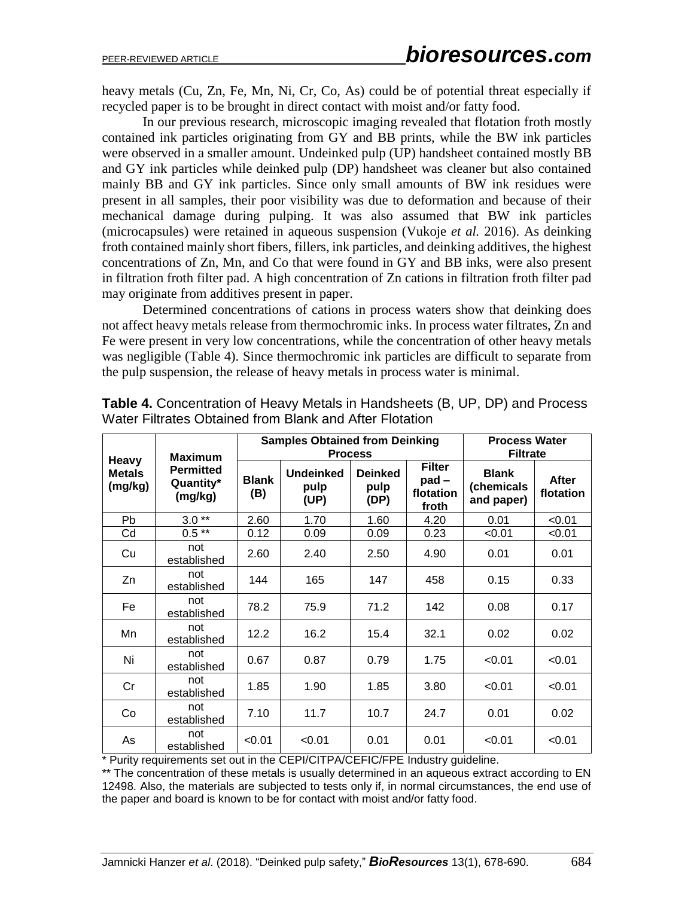heavy metals (Cu, Zn, Fe, Mn, Ni, Cr, Co, As) could be of potential threat especially if recycled paper is to be brought in direct contact with moist and/or fatty food.

In our previous research, microscopic imaging revealed that flotation froth mostly contained ink particles originating from GY and BB prints, while the BW ink particles were observed in a smaller amount. Undeinked pulp (UP) handsheet contained mostly BB and GY ink particles while deinked pulp (DP) handsheet was cleaner but also contained mainly BB and GY ink particles. Since only small amounts of BW ink residues were present in all samples, their poor visibility was due to deformation and because of their mechanical damage during pulping. It was also assumed that BW ink particles (microcapsules) were retained in aqueous suspension (Vukoje *et al.* 2016). As deinking froth contained mainly short fibers, fillers, ink particles, and deinking additives, the highest concentrations of Zn, Mn, and Co that were found in GY and BB inks, were also present in filtration froth filter pad. A high concentration of Zn cations in filtration froth filter pad may originate from additives present in paper.

Determined concentrations of cations in process waters show that deinking does not affect heavy metals release from thermochromic inks. In process water filtrates, Zn and Fe were present in very low concentrations, while the concentration of other heavy metals was negligible (Table 4). Since thermochromic ink particles are difficult to separate from the pulp suspension, the release of heavy metals in process water is minimal.

| Heavy                    | <b>Maximum</b>                           | <b>Samples Obtained from Deinking</b><br><b>Process</b> |                                  |                                |                                                | <b>Process Water</b><br><b>Filtrate</b>  |                           |
|--------------------------|------------------------------------------|---------------------------------------------------------|----------------------------------|--------------------------------|------------------------------------------------|------------------------------------------|---------------------------|
| <b>Metals</b><br>(mg/kg) | <b>Permitted</b><br>Quantity*<br>(mg/kg) | <b>Blank</b><br>(B)                                     | <b>Undeinked</b><br>pulp<br>(UP) | <b>Deinked</b><br>pulp<br>(DP) | <b>Filter</b><br>$pad -$<br>flotation<br>froth | <b>Blank</b><br>(chemicals<br>and paper) | <b>After</b><br>flotation |
| Pb                       | $3.0**$                                  | 2.60                                                    | 1.70                             | 1.60                           | 4.20                                           | 0.01                                     | < 0.01                    |
| Cd                       | $0.5**$                                  | 0.12                                                    | 0.09                             | 0.09                           | 0.23                                           | < 0.01                                   | < 0.01                    |
| Cu                       | not<br>established                       | 2.60                                                    | 2.40                             | 2.50                           | 4.90                                           | 0.01                                     | 0.01                      |
| Zn                       | not<br>established                       | 144                                                     | 165                              | 147                            | 458                                            | 0.15                                     | 0.33                      |
| Fe                       | not<br>established                       | 78.2                                                    | 75.9                             | 71.2                           | 142                                            | 0.08                                     | 0.17                      |
| Mn                       | not<br>established                       | 12.2                                                    | 16.2                             | 15.4                           | 32.1                                           | 0.02                                     | 0.02                      |
| Ni                       | not<br>established                       | 0.67                                                    | 0.87                             | 0.79                           | 1.75                                           | < 0.01                                   | < 0.01                    |
| Cr                       | not<br>established                       | 1.85                                                    | 1.90                             | 1.85                           | 3.80                                           | < 0.01                                   | < 0.01                    |
| Co                       | not<br>established                       | 7.10                                                    | 11.7                             | 10.7                           | 24.7                                           | 0.01                                     | 0.02                      |
| As                       | not<br>established                       | < 0.01                                                  | < 0.01                           | 0.01                           | 0.01                                           | < 0.01                                   | < 0.01                    |

**Table 4.** Concentration of Heavy Metals in Handsheets (B, UP, DP) and Process Water Filtrates Obtained from Blank and After Flotation

\* Purity requirements set out in the CEPI/CITPA/CEFIC/FPE Industry guideline.

\*\* The concentration of these metals is usually determined in an aqueous extract according to EN 12498. Also, the materials are subjected to tests only if, in normal circumstances, the end use of the paper and board is known to be for contact with moist and/or fatty food.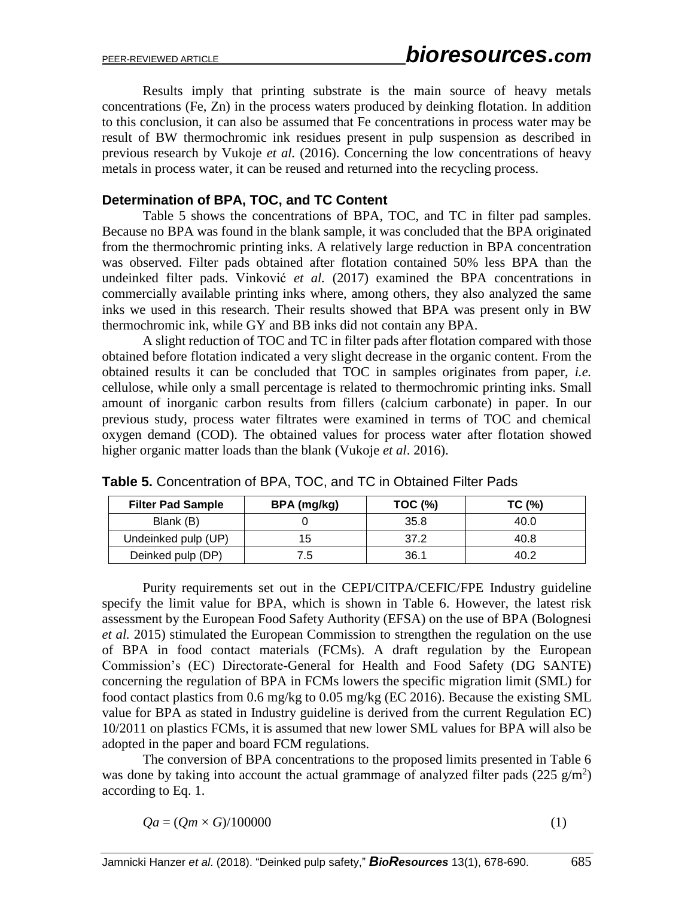Results imply that printing substrate is the main source of heavy metals concentrations (Fe, Zn) in the process waters produced by deinking flotation. In addition to this conclusion, it can also be assumed that Fe concentrations in process water may be result of BW thermochromic ink residues present in pulp suspension as described in previous research by Vukoje *et al.* (2016). Concerning the low concentrations of heavy metals in process water, it can be reused and returned into the recycling process.

#### **Determination of BPA, TOC, and TC Content**

Table 5 shows the concentrations of BPA, TOC, and TC in filter pad samples. Because no BPA was found in the blank sample, it was concluded that the BPA originated from the thermochromic printing inks. A relatively large reduction in BPA concentration was observed. Filter pads obtained after flotation contained 50% less BPA than the undeinked filter pads. Vinković *et al.* (2017) examined the BPA concentrations in commercially available printing inks where, among others, they also analyzed the same inks we used in this research. Their results showed that BPA was present only in BW thermochromic ink, while GY and BB inks did not contain any BPA.

A slight reduction of TOC and TC in filter pads after flotation compared with those obtained before flotation indicated a very slight decrease in the organic content. From the obtained results it can be concluded that TOC in samples originates from paper, *i.e.* cellulose, while only a small percentage is related to thermochromic printing inks. Small amount of inorganic carbon results from fillers (calcium carbonate) in paper. In our previous study, process water filtrates were examined in terms of TOC and chemical oxygen demand (COD). The obtained values for process water after flotation showed higher organic matter loads than the blank (Vukoje *et al*. 2016).

| <b>Filter Pad Sample</b> | BPA (mg/kg)    | <b>TOC (%)</b> | TC (%) |
|--------------------------|----------------|----------------|--------|
| Blank (B)                |                | 35.8           | 40.0   |
| Undeinked pulp (UP)      | מ ו            | 37.2           | 40.8   |
| Deinked pulp (DP)        | $^{\prime}$ .5 | 36.1           | 40.2   |

**Table 5.** Concentration of BPA, TOC, and TC in Obtained Filter Pads

Purity requirements set out in the CEPI/CITPA/CEFIC/FPE Industry guideline specify the limit value for BPA, which is shown in Table 6. However, the latest risk assessment by the European Food Safety Authority (EFSA) on the use of BPA (Bolognesi *et al.* 2015) stimulated the European Commission to strengthen the regulation on the use of BPA in food contact materials (FCMs). A draft regulation by the European Commission's (EC) Directorate-General for Health and Food Safety (DG SANTE) concerning the regulation of BPA in FCMs lowers the specific migration limit (SML) for food contact plastics from 0.6 mg/kg to 0.05 mg/kg (EC 2016). Because the existing SML value for BPA as stated in Industry guideline is derived from the current Regulation EC) 10/2011 on plastics FCMs, it is assumed that new lower SML values for BPA will also be adopted in the paper and board FCM regulations.

The conversion of BPA concentrations to the proposed limits presented in Table 6 was done by taking into account the actual grammage of analyzed filter pads  $(225 \text{ g/m}^2)$ according to Eq. 1.

$$
Qa = (Qm \times G)/100000 \tag{1}
$$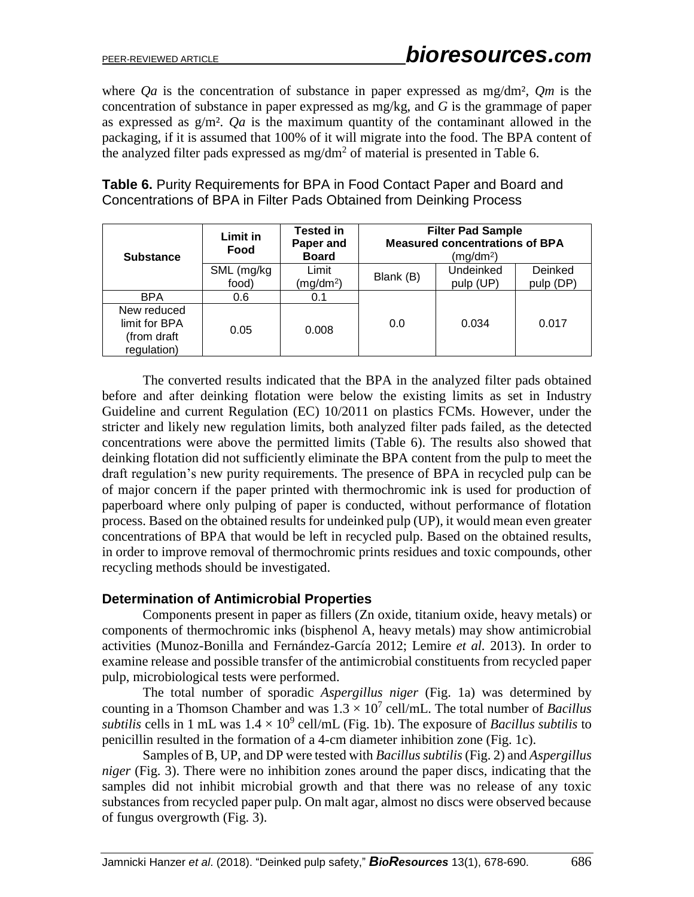where *Qa* is the concentration of substance in paper expressed as mg/dm², *Qm* is the concentration of substance in paper expressed as mg/kg, and *G* is the grammage of paper as expressed as g/m². *Qa* is the maximum quantity of the contaminant allowed in the packaging, if it is assumed that 100% of it will migrate into the food. The BPA content of the analyzed filter pads expressed as mg/dm<sup>2</sup> of material is presented in Table 6.

| <b>Substance</b>                                           | Limit in<br>Food    | Tested in<br>Paper and<br><b>Board</b> | <b>Filter Pad Sample</b><br><b>Measured concentrations of BPA</b><br>(mg/dm <sup>2</sup> ) |                        |                      |  |
|------------------------------------------------------------|---------------------|----------------------------------------|--------------------------------------------------------------------------------------------|------------------------|----------------------|--|
|                                                            | SML (mg/kg<br>food) | Limit<br>(mg/dm <sup>2</sup> )         | Blank (B)                                                                                  | Undeinked<br>pulp (UP) | Deinked<br>pulp (DP) |  |
| <b>BPA</b>                                                 | 0.6                 | 0.1                                    |                                                                                            |                        |                      |  |
| New reduced<br>limit for BPA<br>(from draft<br>regulation) | 0.05                | 0.008                                  | 0.0                                                                                        | 0.034                  | 0.017                |  |

**Table 6.** Purity Requirements for BPA in Food Contact Paper and Board and Concentrations of BPA in Filter Pads Obtained from Deinking Process

The converted results indicated that the BPA in the analyzed filter pads obtained before and after deinking flotation were below the existing limits as set in Industry Guideline and current Regulation (EC) 10/2011 on plastics FCMs. However, under the stricter and likely new regulation limits, both analyzed filter pads failed, as the detected concentrations were above the permitted limits (Table 6). The results also showed that deinking flotation did not sufficiently eliminate the BPA content from the pulp to meet the draft regulation's new purity requirements. The presence of BPA in recycled pulp can be of major concern if the paper printed with thermochromic ink is used for production of paperboard where only pulping of paper is conducted, without performance of flotation process. Based on the obtained results for undeinked pulp (UP), it would mean even greater concentrations of BPA that would be left in recycled pulp. Based on the obtained results, in order to improve removal of thermochromic prints residues and toxic compounds, other recycling methods should be investigated.

#### **Determination of Antimicrobial Properties**

Components present in paper as fillers (Zn oxide, titanium oxide, heavy metals) or components of thermochromic inks (bisphenol A, heavy metals) may show antimicrobial activities (Munoz-Bonilla and Fernández-García 2012; Lemire *et al.* 2013). In order to examine release and possible transfer of the antimicrobial constituents from recycled paper pulp, microbiological tests were performed.

The total number of sporadic *Aspergillus niger* (Fig. 1a) was determined by counting in a Thomson Chamber and was  $1.3 \times 10^7$  cell/mL. The total number of *Bacillus* subtilis cells in 1 mL was  $1.4 \times 10^9$  cell/mL (Fig. 1b). The exposure of *Bacillus subtilis* to penicillin resulted in the formation of a 4-cm diameter inhibition zone (Fig. 1c).

Samples of B, UP, and DP were tested with *Bacillus subtilis* (Fig. 2) and *Aspergillus niger* (Fig. 3). There were no inhibition zones around the paper discs, indicating that the samples did not inhibit microbial growth and that there was no release of any toxic substances from recycled paper pulp. On malt agar, almost no discs were observed because of fungus overgrowth (Fig. 3).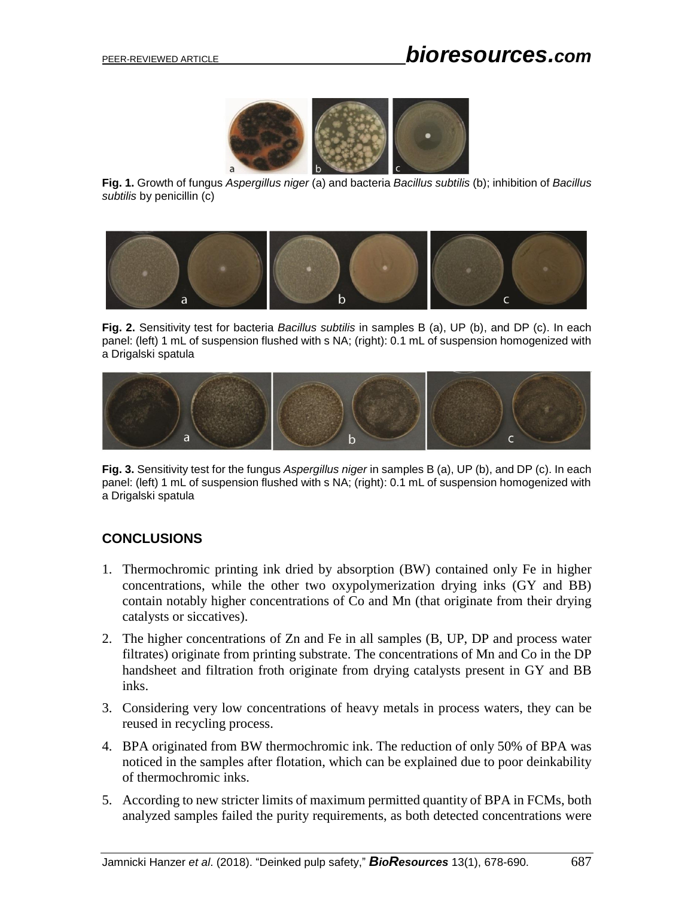

**Fig. 1.** Growth of fungus *Aspergillus niger* (a) and bacteria *Bacillus subtilis* (b); inhibition of *Bacillus subtilis* by penicillin (c)



**Fig. 2.** Sensitivity test for bacteria *Bacillus subtilis* in samples B (a), UP (b), and DP (c). In each panel: (left) 1 mL of suspension flushed with s NA; (right): 0.1 mL of suspension homogenized with a Drigalski spatula



**Fig. 3.** Sensitivity test for the fungus *Aspergillus niger* in samples B (a), UP (b), and DP (c). In each panel: (left) 1 mL of suspension flushed with s NA; (right): 0.1 mL of suspension homogenized with a Drigalski spatula

# **CONCLUSIONS**

- 1. Thermochromic printing ink dried by absorption (BW) contained only Fe in higher concentrations, while the other two oxypolymerization drying inks (GY and BB) contain notably higher concentrations of Co and Mn (that originate from their drying catalysts or siccatives).
- 2. The higher concentrations of Zn and Fe in all samples (B, UP, DP and process water filtrates) originate from printing substrate. The concentrations of Mn and Co in the DP handsheet and filtration froth originate from drying catalysts present in GY and BB inks.
- 3. Considering very low concentrations of heavy metals in process waters, they can be reused in recycling process.
- 4. BPA originated from BW thermochromic ink. The reduction of only 50% of BPA was noticed in the samples after flotation, which can be explained due to poor deinkability of thermochromic inks.
- 5. According to new stricter limits of maximum permitted quantity of BPA in FCMs, both analyzed samples failed the purity requirements, as both detected concentrations were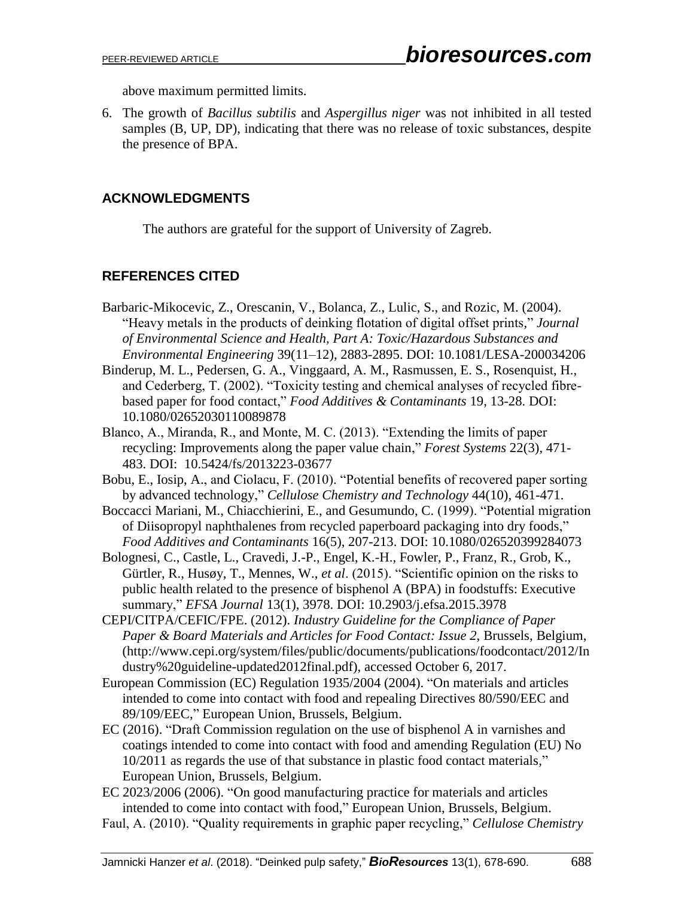above maximum permitted limits.

6. The growth of *Bacillus subtilis* and *Aspergillus niger* was not inhibited in all tested samples (B, UP, DP), indicating that there was no release of toxic substances, despite the presence of BPA.

# **ACKNOWLEDGMENTS**

The authors are grateful for the support of University of Zagreb.

# **REFERENCES CITED**

- Barbaric-Mikocevic, Z., Orescanin, V., Bolanca, Z., Lulic, S., and Rozic, M. (2004). "Heavy metals in the products of deinking flotation of digital offset prints," *Journal of Environmental Science and Health, Part A: Toxic/Hazardous Substances and Environmental Engineering* 39(11–12), 2883-2895. DOI: 10.1081/LESA-200034206
- Binderup, M. L., Pedersen, G. A., Vinggaard, A. M., Rasmussen, E. S., Rosenquist, H., and Cederberg, T. (2002). "Toxicity testing and chemical analyses of recycled fibrebased paper for food contact," *Food Additives & Contaminants* 19, 13-28. DOI: 10.1080/02652030110089878
- Blanco, A., Miranda, R., and Monte, M. C. (2013). "Extending the limits of paper recycling: Improvements along the paper value chain," *Forest Systems* 22(3), 471- 483. DOI: 10.5424/fs/2013223-03677
- Bobu, E., Iosip, A., and Ciolacu, F. (2010). "Potential benefits of recovered paper sorting by advanced technology," *Cellulose Chemistry and Technology* 44(10), 461-471.
- Boccacci Mariani, M., Chiacchierini, E., and Gesumundo, C. (1999). "Potential migration of Diisopropyl naphthalenes from recycled paperboard packaging into dry foods," *Food Additives and Contaminants* 16(5), 207-213. DOI: 10.1080/026520399284073
- Bolognesi, C., Castle, L., Cravedi, J.-P., Engel, K.-H., Fowler, P., Franz, R., Grob, K., Gürtler, R., Husøy, T., Mennes, W., *et al*. (2015). "Scientific opinion on the risks to public health related to the presence of bisphenol A (BPA) in foodstuffs: Executive summary," *EFSA Journal* 13(1), 3978. DOI: 10.2903/j.efsa.2015.3978
- CEPI/CITPA/CEFIC/FPE. (2012). *Industry Guideline for the Compliance of Paper Paper & Board Materials and Articles for Food Contact: Issue 2*, Brussels, Belgium, [\(http://www.cepi.org/system/files/public/documents/publications/foodcontact/2012/In](http://www.cepi.org/system/files/public/documents/publications/foodcontact/2012/Industry%20guideline-updated2012final.pdf) [dustry%20guideline-updated2012final.pdf\)](http://www.cepi.org/system/files/public/documents/publications/foodcontact/2012/Industry%20guideline-updated2012final.pdf), accessed October 6, 2017.
- European Commission (EC) Regulation 1935/2004 (2004). "On materials and articles intended to come into contact with food and repealing Directives 80/590/EEC and 89/109/EEC," European Union, Brussels, Belgium.
- EC (2016). "Draft Commission regulation on the use of bisphenol A in varnishes and coatings intended to come into contact with food and amending Regulation (EU) No 10/2011 as regards the use of that substance in plastic food contact materials," European Union, Brussels, Belgium.
- EC 2023/2006 (2006). "On good manufacturing practice for materials and articles intended to come into contact with food," European Union, Brussels, Belgium.
- Faul, A. (2010). "Quality requirements in graphic paper recycling," *Cellulose Chemistry*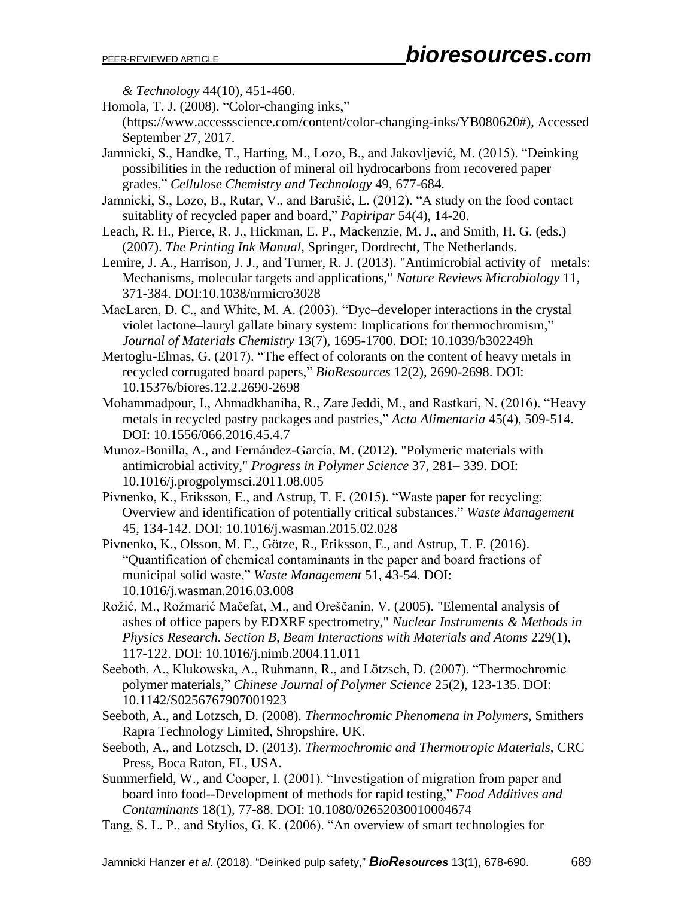*& Technology* 44(10), 451-460.

- Homola, T. J. (2008). "Color-changing inks,"
- (https://www.accessscience.com/content/color-changing-inks/YB080620#), Accessed September 27, 2017.
- Jamnicki, S., Handke, T., Harting, M., Lozo, B., and Jakovljević, M. (2015). "Deinking possibilities in the reduction of mineral oil hydrocarbons from recovered paper grades," *Cellulose Chemistry and Technology* 49, 677-684.
- Jamnicki, S., Lozo, B., Rutar, V., and Barušić, L. (2012). "A study on the food contact suitablity of recycled paper and board," *Papiripar* 54(4), 14-20.
- Leach, R. H., Pierce, R. J., Hickman, E. P., Mackenzie, M. J., and Smith, H. G. (eds.) (2007). *The Printing Ink Manual*, Springer, Dordrecht, The Netherlands.
- Lemire, J. A., Harrison, J. J., and Turner, R. J. (2013). "Antimicrobial activity of metals: Mechanisms, molecular targets and applications," *Nature Reviews Microbiology* 11, 371-384. DOI:10.1038/nrmicro3028
- MacLaren, D. C., and White, M. A. (2003). "Dye–developer interactions in the crystal violet lactone–lauryl gallate binary system: Implications for thermochromism," *Journal of Materials Chemistry* 13(7), 1695-1700. DOI: 10.1039/b302249h
- Mertoglu-Elmas, G. (2017). "The effect of colorants on the content of heavy metals in recycled corrugated board papers," *BioResources* 12(2), 2690-2698. DOI: 10.15376/biores.12.2.2690-2698
- Mohammadpour, I., Ahmadkhaniha, R., Zare Jeddi, M., and Rastkari, N. (2016). "Heavy metals in recycled pastry packages and pastries," *Acta Alimentaria* 45(4), 509-514. DOI: 10.1556/066.2016.45.4.7
- Munoz-Bonilla, A., and Fernández-García, M. (2012). "Polymeric materials with antimicrobial activity," *Progress in Polymer Science* 37, 281– 339. DOI: 10.1016/j.progpolymsci.2011.08.005
- Pivnenko, K., Eriksson, E., and Astrup, T. F. (2015). "Waste paper for recycling: Overview and identification of potentially critical substances," *Waste Management* 45, 134-142. DOI: 10.1016/j.wasman.2015.02.028
- Pivnenko, K., Olsson, M. E., Götze, R., Eriksson, E., and Astrup, T. F. (2016). "Quantification of chemical contaminants in the paper and board fractions of municipal solid waste," *Waste Management* 51, 43-54. DOI: 10.1016/j.wasman.2016.03.008
- Rožić, M., Rožmarić Mačefat, M., and Oreščanin, V. (2005). "Elemental analysis of ashes of office papers by EDXRF spectrometry," *Nuclear Instruments & Methods in Physics Research. Section B, Beam Interactions with Materials and Atoms* 229(1), 117-122. DOI: 10.1016/j.nimb.2004.11.011
- Seeboth, A., Klukowska, A., Ruhmann, R., and Lötzsch, D. (2007). "Thermochromic polymer materials," *Chinese Journal of Polymer Science* 25(2), 123-135. DOI: 10.1142/S0256767907001923
- Seeboth, A., and Lotzsch, D. (2008). *Thermochromic Phenomena in Polymers*, Smithers Rapra Technology Limited, Shropshire, UK.
- Seeboth, A., and Lotzsch, D. (2013). *Thermochromic and Thermotropic Materials*, CRC Press, Boca Raton, FL, USA.
- Summerfield, W., and Cooper, I. (2001). "Investigation of migration from paper and board into food--Development of methods for rapid testing," *Food Additives and Contaminants* 18(1), 77-88. DOI: 10.1080/02652030010004674
- Tang, S. L. P., and Stylios, G. K. (2006). "An overview of smart technologies for